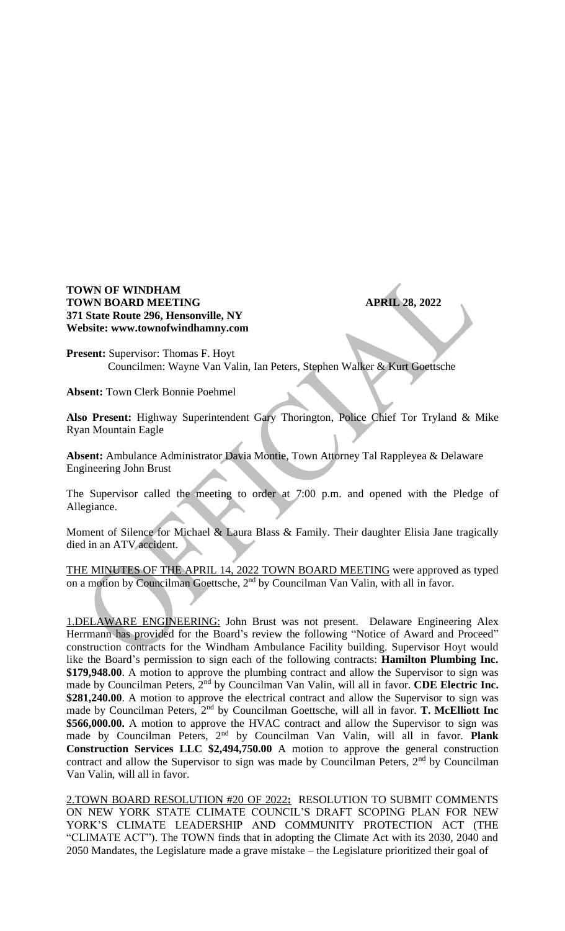## **TOWN OF WINDHAM TOWN BOARD MEETING APRIL 28, 2022 371 State Route 296, Hensonville, NY Website: www.townofwindhamny.com**

**Present:** Supervisor: Thomas F. Hoyt Councilmen: Wayne Van Valin, Ian Peters, Stephen Walker & Kurt Goettsche

**Absent:** Town Clerk Bonnie Poehmel

**Also Present:** Highway Superintendent Gary Thorington, Police Chief Tor Tryland & Mike Ryan Mountain Eagle

**Absent:** Ambulance Administrator Davia Montie, Town Attorney Tal Rappleyea & Delaware Engineering John Brust

The Supervisor called the meeting to order at 7:00 p.m. and opened with the Pledge of Allegiance.

Moment of Silence for Michael & Laura Blass & Family. Their daughter Elisia Jane tragically died in an ATV accident.

THE MINUTES OF THE APRIL 14, 2022 TOWN BOARD MEETING were approved as typed on a motion by Councilman Goettsche, 2<sup>nd</sup> by Councilman Van Valin, with all in favor.

1.DELAWARE ENGINEERING: John Brust was not present. Delaware Engineering Alex Herrmann has provided for the Board's review the following "Notice of Award and Proceed" construction contracts for the Windham Ambulance Facility building. Supervisor Hoyt would like the Board's permission to sign each of the following contracts: **Hamilton Plumbing Inc. \$179,948.00**. A motion to approve the plumbing contract and allow the Supervisor to sign was made by Councilman Peters, 2nd by Councilman Van Valin, will all in favor. **CDE Electric Inc. \$281,240.00**. A motion to approve the electrical contract and allow the Supervisor to sign was made by Councilman Peters, 2nd by Councilman Goettsche, will all in favor. **T. McElliott Inc \$566,000.00.** A motion to approve the HVAC contract and allow the Supervisor to sign was made by Councilman Peters, 2nd by Councilman Van Valin, will all in favor. **Plank Construction Services LLC \$2,494,750.00** A motion to approve the general construction contract and allow the Supervisor to sign was made by Councilman Peters,  $2<sup>nd</sup>$  by Councilman Van Valin, will all in favor.

2.TOWN BOARD RESOLUTION #20 OF 2022**:** RESOLUTION TO SUBMIT COMMENTS ON NEW YORK STATE CLIMATE COUNCIL'S DRAFT SCOPING PLAN FOR NEW YORK'S CLIMATE LEADERSHIP AND COMMUNITY PROTECTION ACT (THE "CLIMATE ACT"). The TOWN finds that in adopting the Climate Act with its 2030, 2040 and 2050 Mandates, the Legislature made a grave mistake – the Legislature prioritized their goal of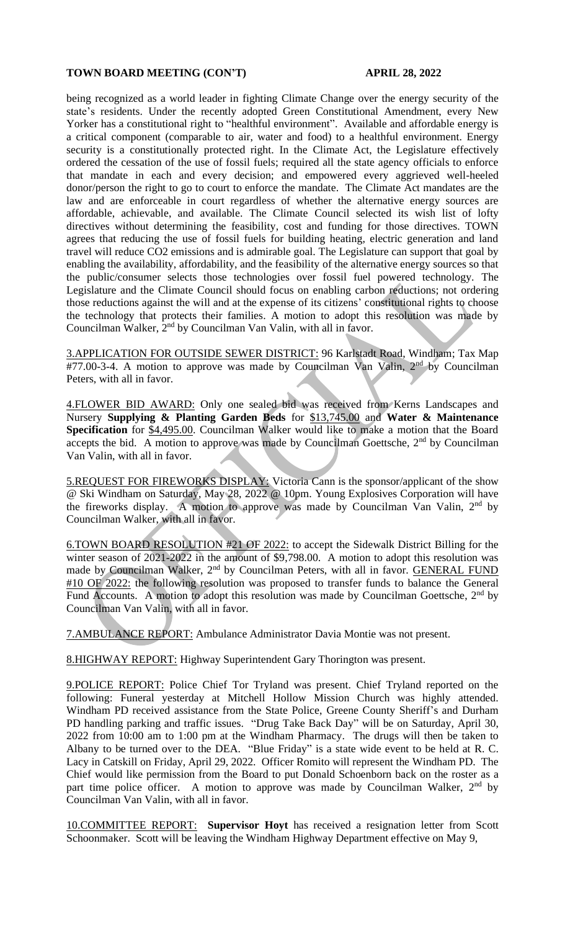## **TOWN BOARD MEETING (CON'T) APRIL 28, 2022**

being recognized as a world leader in fighting Climate Change over the energy security of the state's residents. Under the recently adopted Green Constitutional Amendment, every New Yorker has a constitutional right to "healthful environment". Available and affordable energy is a critical component (comparable to air, water and food) to a healthful environment. Energy security is a constitutionally protected right. In the Climate Act, the Legislature effectively ordered the cessation of the use of fossil fuels; required all the state agency officials to enforce that mandate in each and every decision; and empowered every aggrieved well-heeled donor/person the right to go to court to enforce the mandate. The Climate Act mandates are the law and are enforceable in court regardless of whether the alternative energy sources are affordable, achievable, and available. The Climate Council selected its wish list of lofty directives without determining the feasibility, cost and funding for those directives. TOWN agrees that reducing the use of fossil fuels for building heating, electric generation and land travel will reduce CO2 emissions and is admirable goal. The Legislature can support that goal by enabling the availability, affordability, and the feasibility of the alternative energy sources so that the public/consumer selects those technologies over fossil fuel powered technology. The Legislature and the Climate Council should focus on enabling carbon reductions; not ordering those reductions against the will and at the expense of its citizens' constitutional rights to choose the technology that protects their families. A motion to adopt this resolution was made by Councilman Walker, 2nd by Councilman Van Valin, with all in favor.

3.APPLICATION FOR OUTSIDE SEWER DISTRICT: 96 Karlstadt Road, Windham; Tax Map  $#77.00-3-4$ . A motion to approve was made by Councilman Van Valin,  $2<sup>nd</sup>$  by Councilman Peters, with all in favor.

4.FLOWER BID AWARD: Only one sealed bid was received from Kerns Landscapes and Nursery **Supplying & Planting Garden Beds** for \$13,745.00 and **Water & Maintenance Specification** for  $\frac{54,495.00}{9}$ . Councilman Walker would like to make a motion that the Board accepts the bid. A motion to approve was made by Councilman Goettsche, 2<sup>nd</sup> by Councilman Van Valin, with all in favor.

5.REQUEST FOR FIREWORKS DISPLAY: Victoria Cann is the sponsor/applicant of the show @ Ski Windham on Saturday, May 28, 2022 @ 10pm. Young Explosives Corporation will have the fireworks display. A motion to approve was made by Councilman Van Valin, 2nd by Councilman Walker, with all in favor.

6.TOWN BOARD RESOLUTION #21 OF 2022: to accept the Sidewalk District Billing for the winter season of 2021-2022 in the amount of \$9,798.00. A motion to adopt this resolution was made by Councilman Walker, 2<sup>nd</sup> by Councilman Peters, with all in favor. GENERAL FUND #10 OF 2022: the following resolution was proposed to transfer funds to balance the General Fund Accounts. A motion to adopt this resolution was made by Councilman Goettsche,  $2<sup>nd</sup>$  by Councilman Van Valin, with all in favor.

7.AMBULANCE REPORT: Ambulance Administrator Davia Montie was not present.

8.HIGHWAY REPORT: Highway Superintendent Gary Thorington was present.

9.POLICE REPORT: Police Chief Tor Tryland was present. Chief Tryland reported on the following: Funeral yesterday at Mitchell Hollow Mission Church was highly attended. Windham PD received assistance from the State Police, Greene County Sheriff's and Durham PD handling parking and traffic issues. "Drug Take Back Day" will be on Saturday, April 30, 2022 from 10:00 am to 1:00 pm at the Windham Pharmacy. The drugs will then be taken to Albany to be turned over to the DEA. "Blue Friday" is a state wide event to be held at R. C. Lacy in Catskill on Friday, April 29, 2022. Officer Romito will represent the Windham PD. The Chief would like permission from the Board to put Donald Schoenborn back on the roster as a part time police officer. A motion to approve was made by Councilman Walker, 2<sup>nd</sup> by Councilman Van Valin, with all in favor.

10.COMMITTEE REPORT: **Supervisor Hoyt** has received a resignation letter from Scott Schoonmaker. Scott will be leaving the Windham Highway Department effective on May 9,